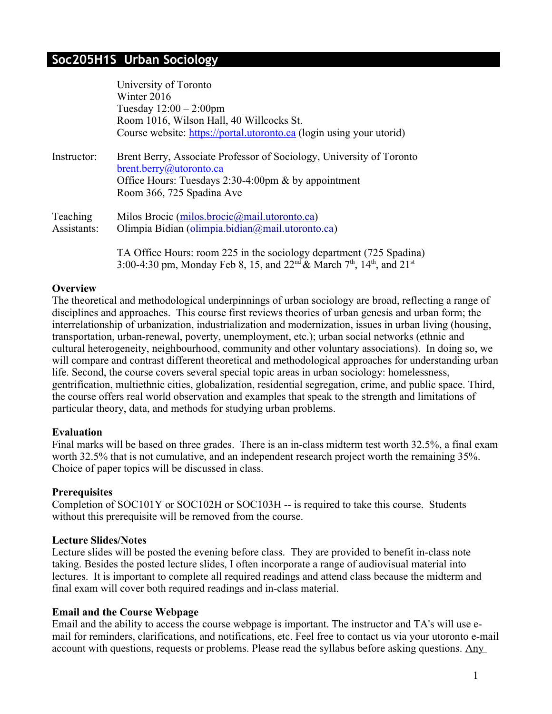# **Soc205H1S Urban Sociology**

|             | University of Toronto                                                                                                  |
|-------------|------------------------------------------------------------------------------------------------------------------------|
|             | Winter 2016                                                                                                            |
|             | Tuesday $12:00 - 2:00$ pm                                                                                              |
|             | Room 1016, Wilson Hall, 40 Willcocks St.                                                                               |
|             | Course website: https://portal.utoronto.ca (login using your utorid)                                                   |
| Instructor: | Brent Berry, Associate Professor of Sociology, University of Toronto<br><u>brent.berry@utoronto.ca</u>                 |
|             | Office Hours: Tuesdays 2:30-4:00pm & by appointment                                                                    |
|             | Room 366, 725 Spadina Ave                                                                                              |
| Teaching    | Milos Brocic (milos.brocic@mail.utoronto.ca)                                                                           |
| Assistants: | Olimpia Bidian (olimpia.bidian@mail.utoronto.ca)                                                                       |
|             | TA Office Hours: room 225 in the sociology department (725 Spadina)                                                    |
|             | 3:00-4:30 pm, Monday Feb 8, 15, and 22 <sup>nd</sup> & March 7 <sup>th</sup> , 14 <sup>th</sup> , and 21 <sup>st</sup> |

#### **Overview**

The theoretical and methodological underpinnings of urban sociology are broad, reflecting a range of disciplines and approaches. This course first reviews theories of urban genesis and urban form; the interrelationship of urbanization, industrialization and modernization, issues in urban living (housing, transportation, urban-renewal, poverty, unemployment, etc.); urban social networks (ethnic and cultural heterogeneity, neighbourhood, community and other voluntary associations). In doing so, we will compare and contrast different theoretical and methodological approaches for understanding urban life. Second, the course covers several special topic areas in urban sociology: homelessness, gentrification, multiethnic cities, globalization, residential segregation, crime, and public space. Third, the course offers real world observation and examples that speak to the strength and limitations of particular theory, data, and methods for studying urban problems.

#### **Evaluation**

Final marks will be based on three grades. There is an in-class midterm test worth 32.5%, a final exam worth 32.5% that is not cumulative, and an independent research project worth the remaining 35%. Choice of paper topics will be discussed in class.

#### **Prerequisites**

Completion of SOC101Y or SOC102H or SOC103H -- is required to take this course. Students without this prerequisite will be removed from the course.

#### **Lecture Slides/Notes**

Lecture slides will be posted the evening before class. They are provided to benefit in-class note taking. Besides the posted lecture slides, I often incorporate a range of audiovisual material into lectures. It is important to complete all required readings and attend class because the midterm and final exam will cover both required readings and in-class material.

#### **Email and the Course Webpage**

Email and the ability to access the course webpage is important. The instructor and TA's will use email for reminders, clarifications, and notifications, etc. Feel free to contact us via your utoronto e-mail account with questions, requests or problems. Please read the syllabus before asking questions. Any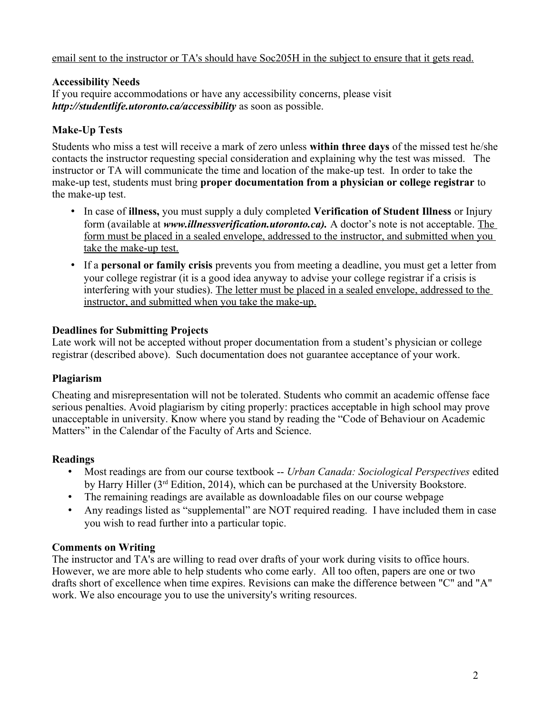#### email sent to the instructor or TA's should have Soc205H in the subject to ensure that it gets read.

#### **Accessibility Needs**

If you require accommodations or have any accessibility concerns, please visit *http://studentlife.utoronto.ca/accessibility* as soon as possible.

#### **Make-Up Tests**

Students who miss a test will receive a mark of zero unless **within three days** of the missed test he/she contacts the instructor requesting special consideration and explaining why the test was missed. The instructor or TA will communicate the time and location of the make-up test. In order to take the make-up test, students must bring **proper documentation from a physician or college registrar** to the make-up test.

- In case of **illness,** you must supply a duly completed **Verification of Student Illness** or Injury form (available at *www.illnessverification.utoronto.ca).* A doctor's note is not acceptable. The form must be placed in a sealed envelope, addressed to the instructor, and submitted when you take the make-up test.
- If a **personal or family crisis** prevents you from meeting a deadline, you must get a letter from your college registrar (it is a good idea anyway to advise your college registrar if a crisis is interfering with your studies). The letter must be placed in a sealed envelope, addressed to the instructor, and submitted when you take the make-up.

#### **Deadlines for Submitting Projects**

Late work will not be accepted without proper documentation from a student's physician or college registrar (described above). Such documentation does not guarantee acceptance of your work.

#### **Plagiarism**

Cheating and misrepresentation will not be tolerated. Students who commit an academic offense face serious penalties. Avoid plagiarism by citing properly: practices acceptable in high school may prove unacceptable in university. Know where you stand by reading the "Code of Behaviour on Academic Matters" in the Calendar of the Faculty of Arts and Science.

#### **Readings**

- Most readings are from our course textbook -- *Urban Canada: Sociological Perspectives* edited by Harry Hiller (3rd Edition, 2014), which can be purchased at the University Bookstore.
- The remaining readings are available as downloadable files on our course webpage
- Any readings listed as "supplemental" are NOT required reading. I have included them in case you wish to read further into a particular topic.

#### **Comments on Writing**

The instructor and TA's are willing to read over drafts of your work during visits to office hours. However, we are more able to help students who come early. All too often, papers are one or two drafts short of excellence when time expires. Revisions can make the difference between "C" and "A" work. We also encourage you to use the university's writing resources.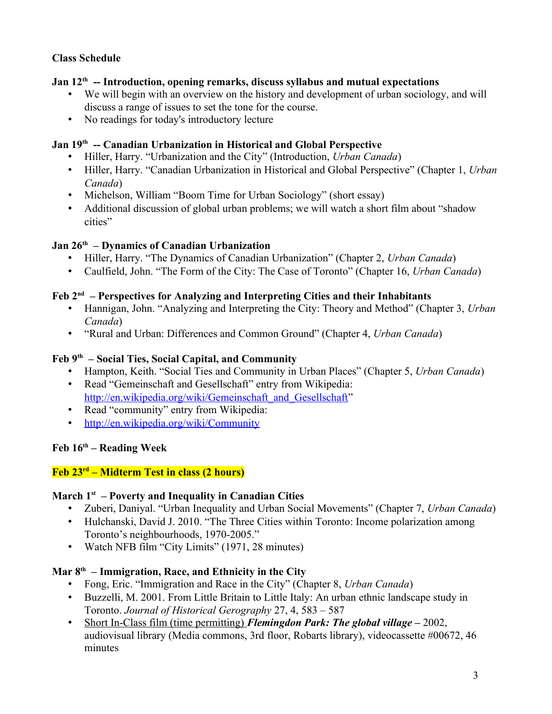## **Class Schedule**

## **Jan 12th -- Introduction, opening remarks, discuss syllabus and mutual expectations**

- We will begin with an overview on the history and development of urban sociology, and will discuss a range of issues to set the tone for the course.
- No readings for today's introductory lecture

#### **Jan 19th -- Canadian Urbanization in Historical and Global Perspective**

- Hiller, Harry. "Urbanization and the City" (Introduction, *Urban Canada*)
- Hiller, Harry. "Canadian Urbanization in Historical and Global Perspective" (Chapter 1, *Urban Canada*)
- Michelson, William "Boom Time for Urban Sociology" (short essay)
- Additional discussion of global urban problems; we will watch a short film about "shadow cities"

## **Jan 26th – Dynamics of Canadian Urbanization**

- Hiller, Harry. "The Dynamics of Canadian Urbanization" (Chapter 2, *Urban Canada*)
- Caulfield, John. "The Form of the City: The Case of Toronto" (Chapter 16, *Urban Canada*)

### **Feb 2nd – Perspectives for Analyzing and Interpreting Cities and their Inhabitants**

- Hannigan, John. "Analyzing and Interpreting the City: Theory and Method" (Chapter 3, *Urban Canada*)
- "Rural and Urban: Differences and Common Ground" (Chapter 4, *Urban Canada*)

#### **Feb 9th – Social Ties, Social Capital, and Community**

- Hampton, Keith. "Social Ties and Community in Urban Places" (Chapter 5, *Urban Canada*)
- Read "Gemeinschaft and Gesellschaft" entry from Wikipedia: [http://en.wikipedia.org/wiki/Gemeinschaft\\_and\\_Gesellschaft"](http://en.wikipedia.org/wiki/Gemeinschaft_and_Gesellschaft)
- Read "community" entry from Wikipedia:
- <http://en.wikipedia.org/wiki/Community>

# **Feb 16th – Reading Week**

## **Feb 23rd – Midterm Test in class (2 hours)**

#### **March 1st – Poverty and Inequality in Canadian Cities**

- Zuberi, Daniyal. "Urban Inequality and Urban Social Movements" (Chapter 7, *Urban Canada*)
- Hulchanski, David J. 2010. "The Three Cities within Toronto: Income polarization among Toronto's neighbourhoods, 1970-2005."
- Watch NFB film "City Limits" (1971, 28 minutes)

## **Mar 8th – Immigration, Race, and Ethnicity in the City**

- Fong, Eric. "Immigration and Race in the City" (Chapter 8, *Urban Canada*)
- Buzzelli, M. 2001. From Little Britain to Little Italy: An urban ethnic landscape study in Toronto. *Journal of Historical Gerography* 27, 4, 583 – 587
- Short In-Class film (time permitting) *Flemingdon Park: The global village* 2002, audiovisual library (Media commons, 3rd floor, Robarts library), videocassette #00672, 46 minutes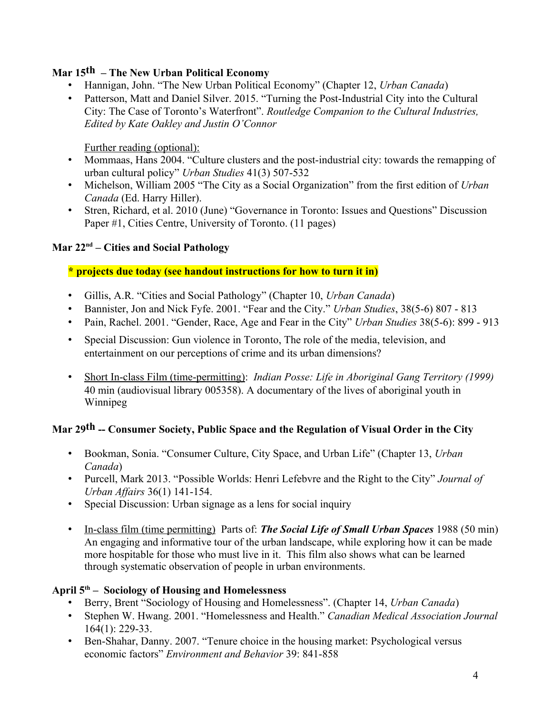# **Mar 15th – The New Urban Political Economy**

- Hannigan, John. "The New Urban Political Economy" (Chapter 12, *Urban Canada*)
- Patterson, Matt and Daniel Silver. 2015. "Turning the Post-Industrial City into the Cultural City: The Case of Toronto's Waterfront". *Routledge Companion to the Cultural Industries, Edited by Kate Oakley and Justin O'Connor*

Further reading (optional):

- Mommaas, Hans 2004. "Culture clusters and the post-industrial city: towards the remapping of urban cultural policy" *Urban Studies* 41(3) 507-532
- Michelson, William 2005 "The City as a Social Organization" from the first edition of *Urban Canada* (Ed. Harry Hiller).
- Stren, Richard, et al. 2010 (June) "Governance in Toronto: Issues and Questions" Discussion Paper #1, Cities Centre, University of Toronto. (11 pages)

# **Mar 22nd – Cities and Social Pathology**

# **\* projects due today (see handout instructions for how to turn it in)**

- Gillis, A.R. "Cities and Social Pathology" (Chapter 10, *Urban Canada*)
- Bannister, Jon and Nick Fyfe. 2001. "Fear and the City." *Urban Studies*, 38(5-6) 807 813
- Pain, Rachel. 2001. "Gender, Race, Age and Fear in the City" *Urban Studies* 38(5-6): 899 913
- Special Discussion: Gun violence in Toronto, The role of the media, television, and entertainment on our perceptions of crime and its urban dimensions?
- Short In-class Film (time-permitting): *Indian Posse: Life in Aboriginal Gang Territory (1999)*  40 min (audiovisual library 005358). A documentary of the lives of aboriginal youth in Winnipeg

# Mar 29<sup>th</sup> -- Consumer Society, Public Space and the Regulation of Visual Order in the City

- Bookman, Sonia. "Consumer Culture, City Space, and Urban Life" (Chapter 13, *Urban Canada*)
- Purcell, Mark 2013. "Possible Worlds: Henri Lefebvre and the Right to the City" *Journal of Urban Affairs* 36(1) 141-154.
- Special Discussion: Urban signage as a lens for social inquiry
- In-class film (time permitting) Parts of: *The Social Life of Small Urban Spaces* 1988 (50 min) An engaging and informative tour of the urban landscape, while exploring how it can be made more hospitable for those who must live in it. This film also shows what can be learned through systematic observation of people in urban environments.

# **April 5th – Sociology of Housing and Homelessness**

- Berry, Brent "Sociology of Housing and Homelessness". (Chapter 14, *Urban Canada*)
- Stephen W. Hwang. 2001. "Homelessness and Health." *Canadian Medical Association Journal* 164(1): 229-33.
- Ben-Shahar, Danny. 2007. "Tenure choice in the housing market: Psychological versus economic factors" *Environment and Behavior* 39: 841-858